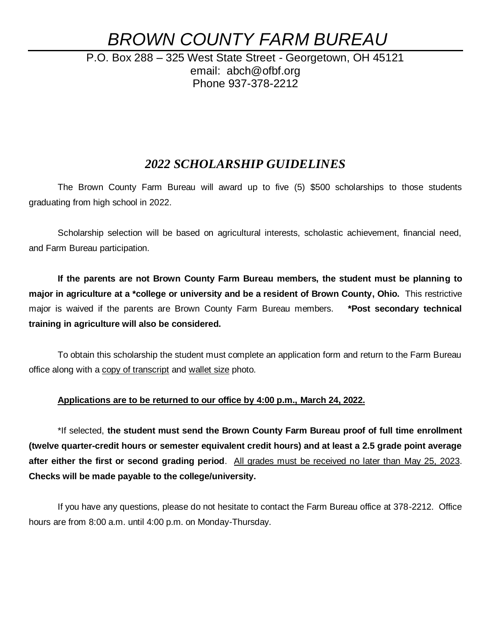# *BROWN COUNTY FARM BUREAU*

P.O. Box 288 – 325 West State Street - Georgetown, OH 45121 email: abch@ofbf.org Phone 937-378-2212

## *2022 SCHOLARSHIP GUIDELINES*

The Brown County Farm Bureau will award up to five (5) \$500 scholarships to those students graduating from high school in 2022.

Scholarship selection will be based on agricultural interests, scholastic achievement, financial need, and Farm Bureau participation.

**If the parents are not Brown County Farm Bureau members, the student must be planning to major in agriculture at a \*college or university and be a resident of Brown County, Ohio.** This restrictive major is waived if the parents are Brown County Farm Bureau members. **\*Post secondary technical training in agriculture will also be considered.**

To obtain this scholarship the student must complete an application form and return to the Farm Bureau office along with a copy of transcript and wallet size photo.

## **Applications are to be returned to our office by 4:00 p.m., March 24, 2022.**

\*If selected, **the student must send the Brown County Farm Bureau proof of full time enrollment (twelve quarter-credit hours or semester equivalent credit hours) and at least a 2.5 grade point average after either the first or second grading period**. All grades must be received no later than May 25, 2023. **Checks will be made payable to the college/university.**

If you have any questions, please do not hesitate to contact the Farm Bureau office at 378-2212. Office hours are from 8:00 a.m. until 4:00 p.m. on Monday-Thursday.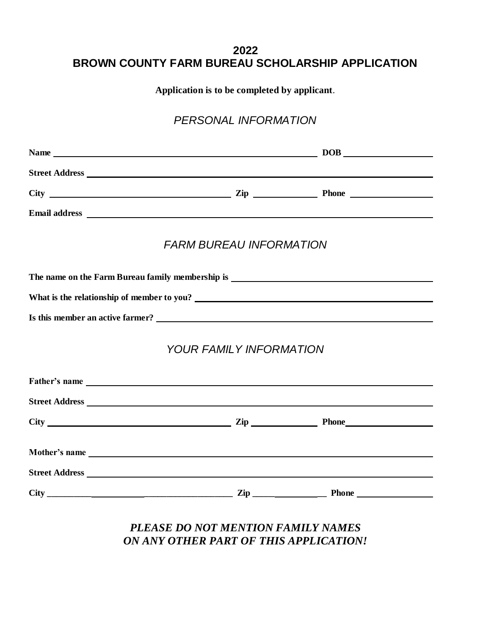# **2022 BROWN COUNTY FARM BUREAU SCHOLARSHIP APPLICATION**

**Application is to be completed by applicant**.

# *PERSONAL INFORMATION*

|                | <b>FARM BUREAU INFORMATION</b> |  |  |  |  |
|----------------|--------------------------------|--|--|--|--|
|                |                                |  |  |  |  |
|                |                                |  |  |  |  |
|                |                                |  |  |  |  |
|                | <b>YOUR FAMILY INFORMATION</b> |  |  |  |  |
|                |                                |  |  |  |  |
|                |                                |  |  |  |  |
|                |                                |  |  |  |  |
|                |                                |  |  |  |  |
| Street Address |                                |  |  |  |  |

## *PLEASE DO NOT MENTION FAMILY NAMES ON ANY OTHER PART OF THIS APPLICATION!*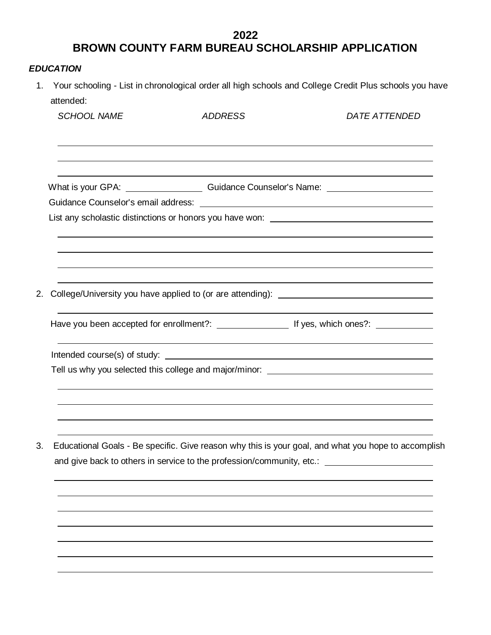## **2022 BROWN COUNTY FARM BUREAU SCHOLARSHIP APPLICATION**

## *EDUCATION*

1. Your schooling - List in chronological order all high schools and College Credit Plus schools you have attended:

|    | <b>SCHOOL NAME</b>                                                                                                                                                           | <b>ADDRESS</b> | <b>DATE ATTENDED</b>                                                                                 |
|----|------------------------------------------------------------------------------------------------------------------------------------------------------------------------------|----------------|------------------------------------------------------------------------------------------------------|
|    |                                                                                                                                                                              |                |                                                                                                      |
|    |                                                                                                                                                                              |                | What is your GPA: ______________________Guidance Counselor's Name: _________________________________ |
|    |                                                                                                                                                                              |                |                                                                                                      |
|    |                                                                                                                                                                              |                | List any scholastic distinctions or honors you have won: _______________________                     |
|    |                                                                                                                                                                              |                |                                                                                                      |
| 2. |                                                                                                                                                                              |                | College/University you have applied to (or are attending): _____________________                     |
|    |                                                                                                                                                                              |                |                                                                                                      |
|    |                                                                                                                                                                              |                |                                                                                                      |
|    |                                                                                                                                                                              |                | Tell us why you selected this college and major/minor: _________________________                     |
|    |                                                                                                                                                                              |                |                                                                                                      |
| 3. | Educational Goals - Be specific. Give reason why this is your goal, and what you hope to accomplish<br>and give back to others in service to the profession/community, etc.: |                |                                                                                                      |
|    |                                                                                                                                                                              |                |                                                                                                      |
|    |                                                                                                                                                                              |                |                                                                                                      |
|    |                                                                                                                                                                              |                |                                                                                                      |
|    |                                                                                                                                                                              |                |                                                                                                      |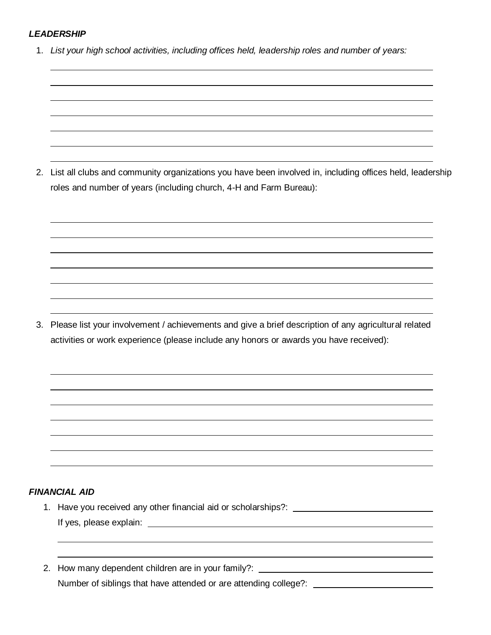#### *LEADERSHIP*

1. *List your high school activities, including offices held, leadership roles and number of years:* 

2. List all clubs and community organizations you have been involved in, including offices held, leadership roles and number of years (including church, 4-H and Farm Bureau):

3. Please list your involvement / achievements and give a brief description of any agricultural related activities or work experience (please include any honors or awards you have received):

#### *FINANCIAL AID*

- 1. Have you received any other financial aid or scholarships?: If yes, please explain:
- 2. How many dependent children are in your family?: Number of siblings that have attended or are attending college?: \_\_\_\_\_\_\_\_\_\_\_\_\_\_\_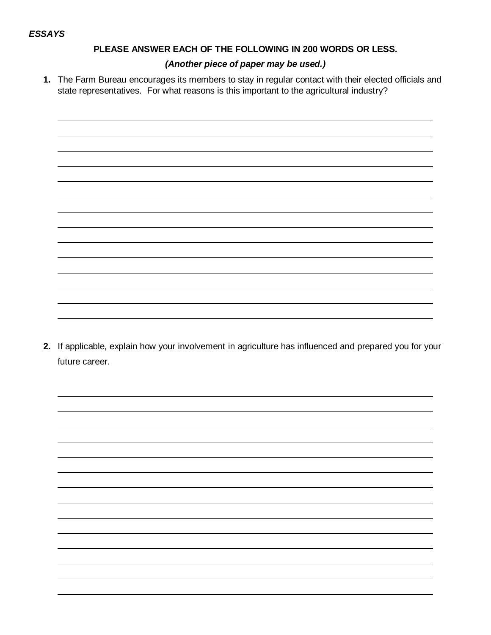## **PLEASE ANSWER EACH OF THE FOLLOWING IN 200 WORDS OR LESS.**

#### *(Another piece of paper may be used.)*

**1.** The Farm Bureau encourages its members to stay in regular contact with their elected officials and state representatives. For what reasons is this important to the agricultural industry?



**2.** If applicable, explain how your involvement in agriculture has influenced and prepared you for your future career.